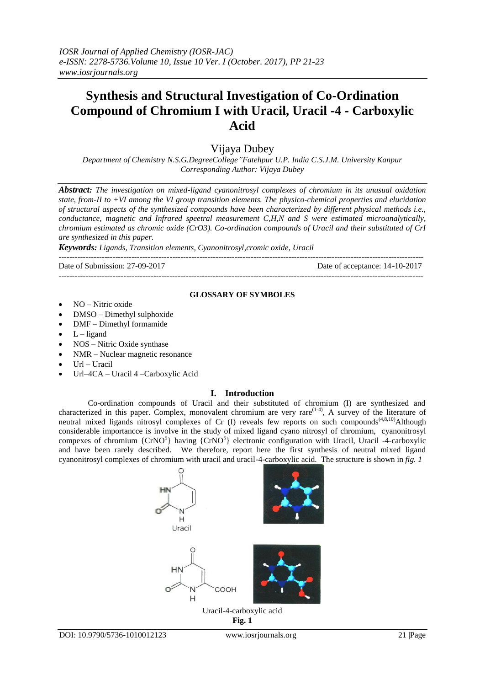# **Synthesis and Structural Investigation of Co-Ordination Compound of Chromium I with Uracil, Uracil -4 - Carboxylic Acid**

## Vijaya Dubey

*Department of Chemistry N.S.G.DegreeCollege"Fatehpur U.P. India C.S.J.M. University Kanpur Corresponding Author: Vijaya Dubey* 

*Abstract: The investigation on mixed-ligand cyanonitrosyl complexes of chromium in its unusual oxidation state, from-II to +VI among the VI group transition elements. The physico-chemical properties and elucidation of structural aspects of the synthesized compounds have been characterized by different physical methods i.e., conductance, magnetic and Infrared speetral measurement C,H,N and S were estimated microanalytically, chromium estimated as chromic oxide (CrO3). Co-ordination compounds of Uracil and their substituted of CrI are synthesized in this paper.*

*Keywords: Ligands, Transition elements, Cyanonitrosyl,cromic oxide, Uracil*

--------------------------------------------------------------------------------------------------------------------------------------- Date of Submission: 27-09-2017 Date of acceptance: 14-10-2017

---------------------------------------------------------------------------------------------------------------------------------------

#### **GLOSSARY OF SYMBOLES**

- NO Nitric oxide
- DMSO Dimethyl sulphoxide
- DMF Dimethyl formamide
- $L$  ligand
- NOS Nitric Oxide synthase
- NMR Nuclear magnetic resonance
- Url Uracil
- Url–4CA Uracil 4 –Carboxylic Acid

## **I. Introduction**

Co-ordination compounds of Uracil and their substituted of chromium (I) are synthesized and characterized in this paper. Complex, monovalent chromium are very rare<sup>(1-4)</sup>, A survey of the literature of neutral mixed ligands nitrosyl complexes of Cr (I) reveals few reports on such compounds<sup>(4,8,10</sup>)Although considerable importancce is involve in the study of mixed ligand cyano nitrosyl of chromium, cyanonitrosyl compexes of chromium  ${CrNO<sup>5</sup>}$  having  ${CrNO<sup>5</sup>}$  electronic configuration with Uracil, Uracil -4-carboxylic and have been rarely described. We therefore, report here the first synthesis of neutral mixed ligand cyanonitrosyl complexes of chromium with uracil and uracil-4-carboxylic acid. The structure is shown in *fig. 1*



**Fig. 1**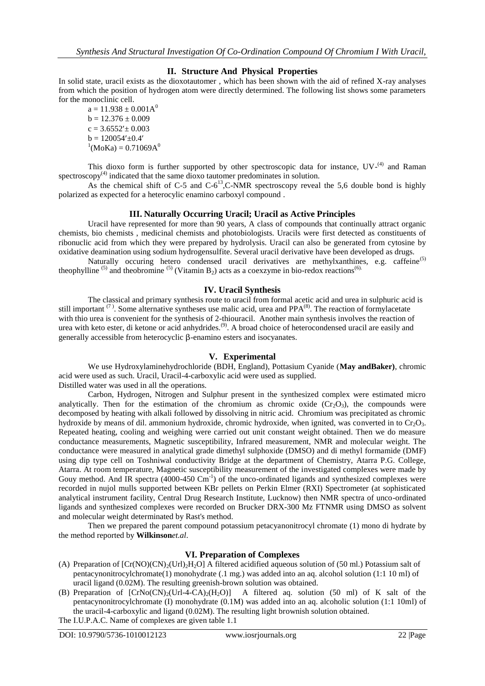## **II. Structure And Physical Properties**

In solid state, uracil exists as the dioxotautomer , which has been shown with the aid of refined X-ray analyses from which the position of hydrogen atom were directly determined. The following list shows some parameters for the monoclinic cell.

 $a = 11.938 \pm 0.001 A^0$  $b = 12.376 \pm 0.009$  $c = 3.6552' + 0.003$  $b = 120054' \pm 0.4'$  $^{1}$ (MoKa) = 0.71069A<sup>0</sup>

This dioxo form is further supported by other spectroscopic data for instance,  $UV<sup>{(4)}</sup>$  and Raman  $s$ pectroscopy $(4)$  indicated that the same dioxo tautomer predominates in solution.

As the chemical shift of C-5 and C-6<sup>13</sup>,C-NMR spectroscopy reveal the 5,6 double bond is highly polarized as expected for a heterocylic enamino carboxyl compound .

### **III. Naturally Occurring Uracil; Uracil as Active Principles**

Uracil have represented for more than 90 years, A class of compounds that continually attract organic chemists, bio chemists , medicinal chemists and photobiologists. Uracils were first detected as constituents of ribonuclic acid from which they were prepared by hydrolysis. Uracil can also be generated from cytosine by oxidative deamination using sodium hydrogensulfite. Several uracil derivative have been developed as drugs.

Naturally occuring hetero condensed uracil derivatives are methylxanthines, e.g. caffeine<sup>(5)</sup> theophylline <sup>(5)</sup> and theobromine <sup>(5)</sup> (Vitamin B<sub>2</sub>) acts as a coexzyme in bio-redox reactions<sup>(6).</sup>

## **IV. Uracil Synthesis**

The classical and primary synthesis route to uracil from formal acetic acid and urea in sulphuric acid is still important  $(7)$ . Some alternative syntheses use malic acid, urea and PPA $(8)$ . The reaction of formylacetate with thio urea is convenient for the synthesis of 2-thiouracil. Another main synthesis involves the reaction of urea with keto ester, di ketone or acid anhydrides.<sup>(9)</sup>. A broad choice of heterocondensed uracil are easily and generally accessible from heterocyclic β-enamino esters and isocyanates.

#### **V. Experimental**

We use Hydroxylaminehydrochloride (BDH, England), Pottasium Cyanide (**May andBaker)**, chromic acid were used as such. Uracil, Uracil-4-carboxylic acid were used as supplied.

Distilled water was used in all the operations.

Carbon, Hydrogen, Nitrogen and Sulphur present in the synthesized complex were estimated micro analytically. Then for the estimation of the chromium as chromic oxide  $(Cr_2O_3)$ , the compounds were decomposed by heating with alkali followed by dissolving in nitric acid. Chromium was precipitated as chromic hydroxide by means of dil. ammonium hydroxide, chromic hydroxide, when ignited, was converted in to  $Cr_2O_3$ . Repeated heating, cooling and weighing were carried out unit constant weight obtained. Then we do measure conductance measurements, Magnetic susceptibility, Infrared measurement, NMR and molecular weight. The conductance were measured in analytical grade dimethyl sulphoxide (DMSO) and di methyl formamide (DMF) using dip type cell on Toshniwal conductivity Bridge at the department of Chemistry, Atarra P.G. College, Atarra. At room temperature, Magnetic susceptibility measurement of the investigated complexes were made by Gouy method. And IR spectra  $(4000-450 \text{ Cm}^{-1})$  of the unco-ordinated ligands and synthesized complexes were recorded in nujol mulls supported between KBr pellets on Perkin Elmer (RXI) Spectrometer (at sophisticated analytical instrument facility, Central Drug Research Institute, Lucknow) then NMR spectra of unco-ordinated ligands and synthesized complexes were recorded on Brucker DRX-300 Mz FTNMR using DMSO as solvent and molecular weight determinated by Rast's method.

Then we prepared the parent compound potassium petacyanonitrocyl chromate (1) mono di hydrate by the method reported by **Wilkinson***et.al*.

## **VI. Preparation of Complexes**

- (A) Preparation of  $[Cr(NO)(CN)_2(Ur1)_2H_2O]$  A filtered acidified aqueous solution of (50 ml.) Potassium salt of pentacynonitrocylchromate(1) monohydrate (.1 mg.) was added into an aq. alcohol solution (1:1 10 ml) of uracil ligand (0.02M). The resulting greenish-brown solution was obtained.
- (B) Preparation of  $[CrNo(CN)/(Url-4-CA)/(H<sub>2</sub>)]$  A filtered aq. solution (50 ml) of K salt of the pentacynonitrocylchromate (I) monohydrate (0.1M) was added into an aq. alcoholic solution (1:1 10ml) of the uracil-4-carboxylic and ligand (0.02M). The resulting light brownish solution obtained. The I.U.P.A.C. Name of complexes are given table 1.1